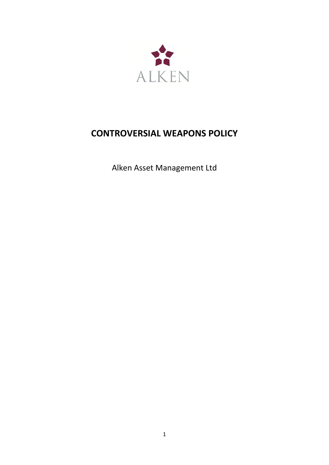

# **CONTROVERSIAL WEAPONS POLICY**

Alken Asset Management Ltd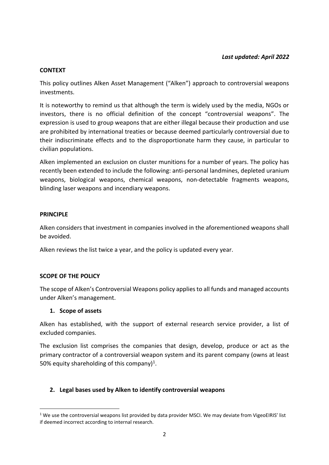#### **CONTEXT**

This policy outlines Alken Asset Management ("Alken") approach to controversial weapons investments.

It is noteworthy to remind us that although the term is widely used by the media, NGOs or investors, there is no official definition of the concept "controversial weapons". The expression is used to group weapons that are either illegal because their production and use are prohibited by international treaties or because deemed particularly controversial due to their indiscriminate effects and to the disproportionate harm they cause, in particular to civilian populations.

Alken implemented an exclusion on cluster munitions for a number of years. The policy has recently been extended to include the following: anti-personal landmines, depleted uranium weapons, biological weapons, chemical weapons, non-detectable fragments weapons, blinding laser weapons and incendiary weapons.

#### **PRINCIPLE**

Alken considers that investment in companies involved in the aforementioned weapons shall be avoided.

Alken reviews the list twice a year, and the policy is updated every year.

### **SCOPE OF THE POLICY**

The scope of Alken's Controversial Weapons policy applies to all funds and managed accounts under Alken's management.

#### **1. Scope of assets**

Alken has established, with the support of external research service provider, a list of excluded companies.

The exclusion list comprises the companies that design, develop, produce or act as the primary contractor of a controversial weapon system and its parent company (owns at least 50% equity shareholding of this company)<sup>1</sup>.

### **2. Legal bases used by Alken to identify controversial weapons**

 $1$  We use the controversial weapons list provided by data provider MSCI. We may deviate from VigeoEIRIS' list if deemed incorrect according to internal research.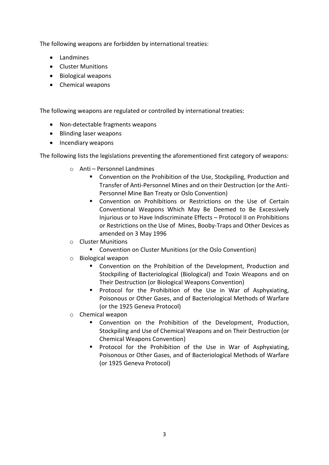The following weapons are forbidden by international treaties:

- Landmines
- Cluster Munitions
- Biological weapons
- Chemical weapons

The following weapons are regulated or controlled by international treaties:

- Non-detectable fragments weapons
- Blinding laser weapons
- Incendiary weapons

The following lists the legislations preventing the aforementioned first category of weapons:

- o Anti Personnel Landmines
	- Convention on the Prohibition of the Use, Stockpiling, Production and Transfer of Anti-Personnel Mines and on their Destruction (or the Anti-Personnel Mine Ban Treaty or Oslo Convention)
	- Convention on Prohibitions or Restrictions on the Use of Certain Conventional Weapons Which May Be Deemed to Be Excessively Injurious or to Have Indiscriminate Effects – Protocol II on Prohibitions or Restrictions on the Use of Mines, Booby-Traps and Other Devices as amended on 3 May 1996
- o Cluster Munitions
	- Convention on Cluster Munitions (or the Oslo Convention)
- o Biological weapon
	- Convention on the Prohibition of the Development, Production and Stockpiling of Bacteriological (Biological) and Toxin Weapons and on Their Destruction (or Biological Weapons Convention)
	- **■** Protocol for the Prohibition of the Use in War of Asphyxiating, Poisonous or Other Gases, and of Bacteriological Methods of Warfare (or the 1925 Geneva Protocol)
- o Chemical weapon
	- Convention on the Prohibition of the Development, Production, Stockpiling and Use of Chemical Weapons and on Their Destruction (or Chemical Weapons Convention)
	- **•** Protocol for the Prohibition of the Use in War of Asphyxiating, Poisonous or Other Gases, and of Bacteriological Methods of Warfare (or 1925 Geneva Protocol)